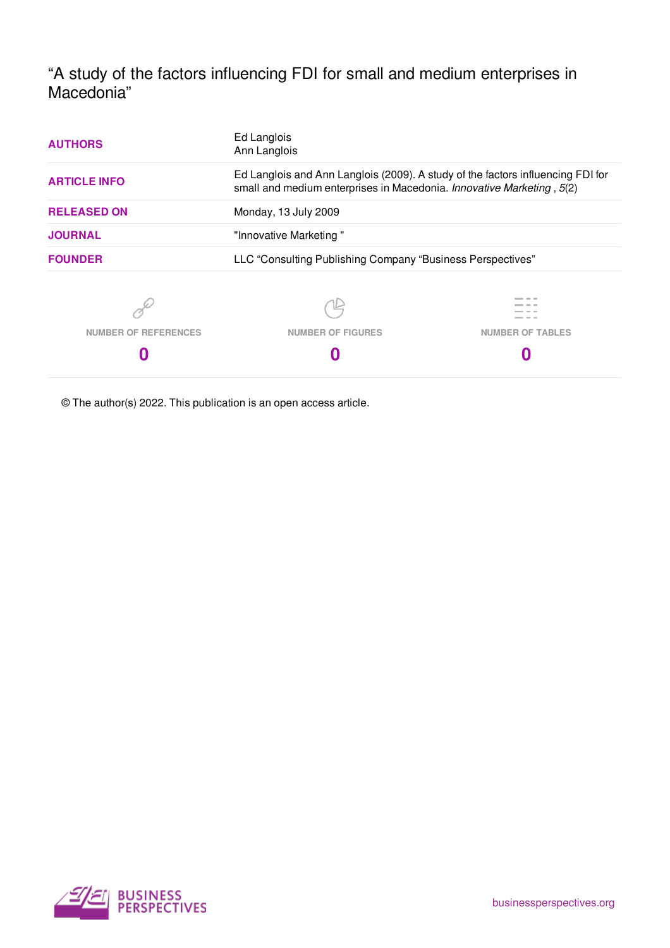"A study of the factors influencing FDI for small and medium enterprises in Macedonia"

| <b>AUTHORS</b>       | Ed Langlois<br>Ann Langlois<br>Ed Langlois and Ann Langlois (2009). A study of the factors influencing FDI for<br>small and medium enterprises in Macedonia. Innovative Marketing, 5(2)<br>Monday, 13 July 2009<br>"Innovative Marketing" |                         |
|----------------------|-------------------------------------------------------------------------------------------------------------------------------------------------------------------------------------------------------------------------------------------|-------------------------|
| <b>ARTICLE INFO</b>  |                                                                                                                                                                                                                                           |                         |
| <b>RELEASED ON</b>   |                                                                                                                                                                                                                                           |                         |
| <b>JOURNAL</b>       |                                                                                                                                                                                                                                           |                         |
| <b>FOUNDER</b>       | LLC "Consulting Publishing Company "Business Perspectives"                                                                                                                                                                                |                         |
|                      |                                                                                                                                                                                                                                           |                         |
| NUMBER OF REFERENCES | <b>NUMBER OF FIGURES</b>                                                                                                                                                                                                                  | <b>NUMBER OF TABLES</b> |
|                      |                                                                                                                                                                                                                                           |                         |
|                      |                                                                                                                                                                                                                                           |                         |

© The author(s) 2022. This publication is an open access article.

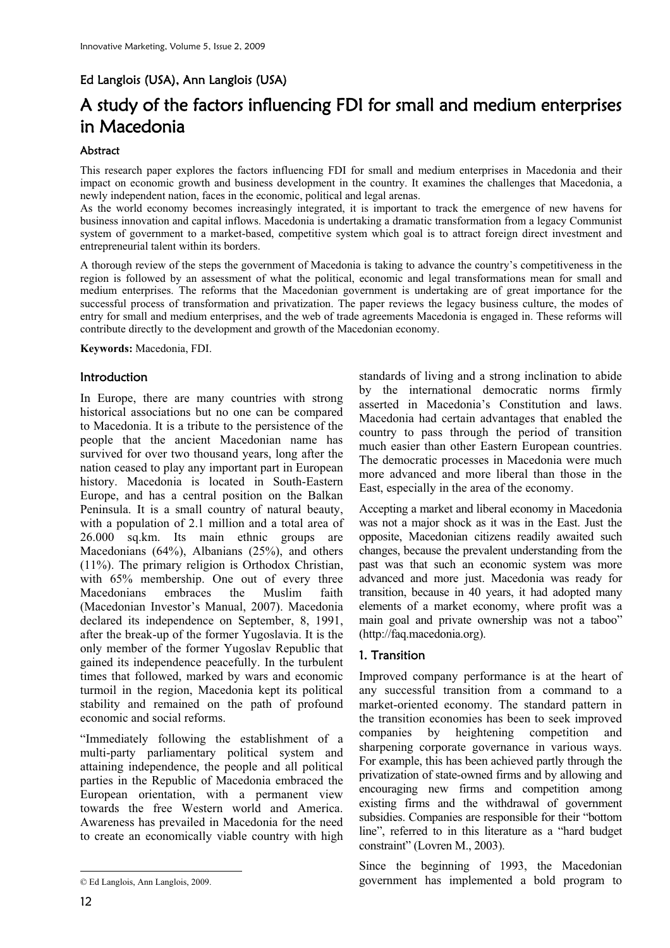## Ed Langlois (USA), Ann Langlois (USA)

# A study of the factors influencing FDI for small and medium enterprises in Macedonia

## **Abstract**

This research paper explores the factors influencing FDI for small and medium enterprises in Macedonia and their impact on economic growth and business development in the country. It examines the challenges that Macedonia, a newly independent nation, faces in the economic, political and legal arenas.

As the world economy becomes increasingly integrated, it is important to track the emergence of new havens for business innovation and capital inflows. Macedonia is undertaking a dramatic transformation from a legacy Communist system of government to a market-based, competitive system which goal is to attract foreign direct investment and entrepreneurial talent within its borders.

A thorough review of the steps the government of Macedonia is taking to advance the country's competitiveness in the region is followed by an assessment of what the political, economic and legal transformations mean for small and medium enterprises. The reforms that the Macedonian government is undertaking are of great importance for the successful process of transformation and privatization. The paper reviews the legacy business culture, the modes of entry for small and medium enterprises, and the web of trade agreements Macedonia is engaged in. These reforms will contribute directly to the development and growth of the Macedonian economy.

**Keywords:** Macedonia, FDI.

## **Introduction**

In Europe, there are many countries with strong historical associations but no one can be compared to Macedonia. It is a tribute to the persistence of the people that the ancient Macedonian name has survived for over two thousand years, long after the nation ceased to play any important part in European history. Macedonia is located in South-Eastern Europe, and has a central position on the Balkan Peninsula. It is a small country of natural beauty, with a population of 2.1 million and a total area of 26.000 sq.km. Its main ethnic groups are Macedonians (64%), Albanians (25%), and others (11%). The primary religion is Orthodox Christian, with 65% membership. One out of every three Macedonians embraces the Muslim faith (Macedonian Investor's Manual, 2007). Macedonia declared its independence on September, 8, 1991, after the break-up of the former Yugoslavia. It is the only member of the former Yugoslav Republic that gained its independence peacefully. In the turbulent times that followed, marked by wars and economic turmoil in the region, Macedonia kept its political stability and remained on the path of profound economic and social reforms.

"Immediately following the establishment of a multi-party parliamentary political system and attaining independence, the people and all political parties in the Republic of Macedonia embraced the European orientation, with a permanent view towards the free Western world and America. Awareness has prevailed in Macedonia for the need to create an economically viable country with high

standards of living and a strong inclination to abide by the international democratic norms firmly asserted in Macedonia's Constitution and laws. Macedonia had certain advantages that enabled the country to pass through the period of transition much easier than other Eastern European countries. The democratic processes in Macedonia were much more advanced and more liberal than those in the East, especially in the area of the economy.

Accepting a market and liberal economy in Macedonia was not a major shock as it was in the East. Just the opposite, Macedonian citizens readily awaited such changes, because the prevalent understanding from the past was that such an economic system was more advanced and more just. Macedonia was ready for transition, because in 40 years, it had adopted many elements of a market economy, where profit was a main goal and private ownership was not a taboo" (http://faq.macedonia.org).

## 1. Transition

Improved company performance is at the heart of any successful transition from a command to a market-oriented economy. The standard pattern in the transition economies has been to seek improved companies by heightening competition and sharpening corporate governance in various ways. For example, this has been achieved partly through the privatization of state-owned firms and by allowing and encouraging new firms and competition among existing firms and the withdrawal of government subsidies. Companies are responsible for their "bottom line", referred to in this literature as a "hard budget constraint" (Lovren M., 2003).

Since the beginning of 1993, the Macedonian government has implemented a bold program to

 $\overline{a}$ © Ed Langlois, Ann Langlois, 2009.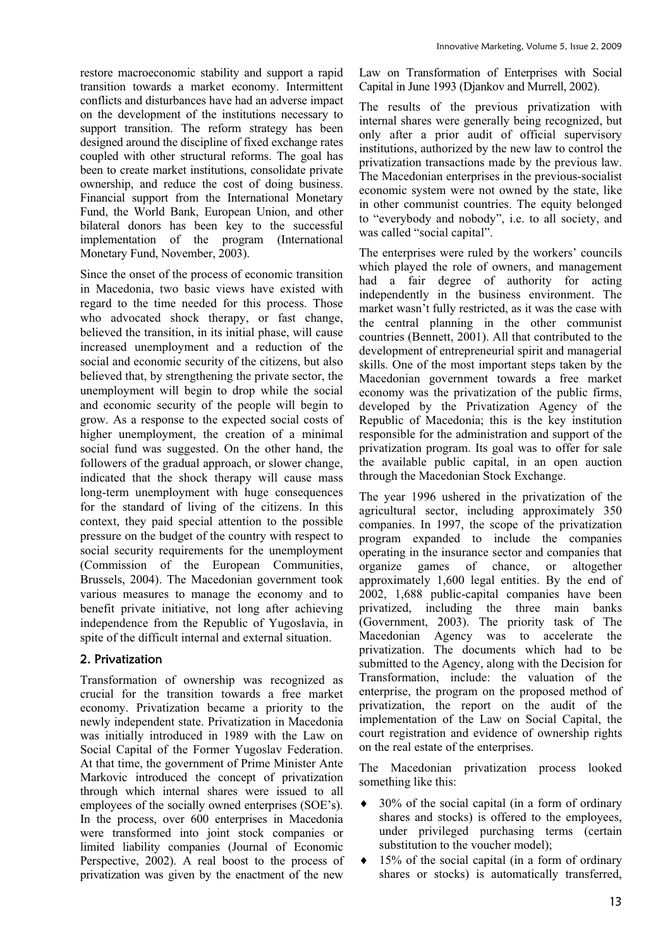restore macroeconomic stability and support a rapid transition towards a market economy. Intermittent conflicts and disturbances have had an adverse impact on the development of the institutions necessary to support transition. The reform strategy has been designed around the discipline of fixed exchange rates coupled with other structural reforms. The goal has been to create market institutions, consolidate private ownership, and reduce the cost of doing business. Financial support from the International Monetary Fund, the World Bank, European Union, and other bilateral donors has been key to the successful implementation of the program (International Monetary Fund, November, 2003).

Since the onset of the process of economic transition in Macedonia, two basic views have existed with regard to the time needed for this process. Those who advocated shock therapy, or fast change, believed the transition, in its initial phase, will cause increased unemployment and a reduction of the social and economic security of the citizens, but also believed that, by strengthening the private sector, the unemployment will begin to drop while the social and economic security of the people will begin to grow. As a response to the expected social costs of higher unemployment, the creation of a minimal social fund was suggested. On the other hand, the followers of the gradual approach, or slower change, indicated that the shock therapy will cause mass long-term unemployment with huge consequences for the standard of living of the citizens. In this context, they paid special attention to the possible pressure on the budget of the country with respect to social security requirements for the unemployment (Commission of the European Communities, Brussels, 2004). The Macedonian government took various measures to manage the economy and to benefit private initiative, not long after achieving independence from the Republic of Yugoslavia, in spite of the difficult internal and external situation.

## 2. Privatization

Transformation of ownership was recognized as crucial for the transition towards a free market economy. Privatization became a priority to the newly independent state. Privatization in Macedonia was initially introduced in 1989 with the Law on Social Capital of the Former Yugoslav Federation. At that time, the government of Prime Minister Ante Markovic introduced the concept of privatization through which internal shares were issued to all employees of the socially owned enterprises (SOE's). In the process, over 600 enterprises in Macedonia were transformed into joint stock companies or limited liability companies (Journal of Economic Perspective, 2002). A real boost to the process of privatization was given by the enactment of the new

Law on Transformation of Enterprises with Social Capital in June 1993 (Djankov and Murrell, 2002).

The results of the previous privatization with internal shares were generally being recognized, but only after a prior audit of official supervisory institutions, authorized by the new law to control the privatization transactions made by the previous law. The Macedonian enterprises in the previous-socialist economic system were not owned by the state, like in other communist countries. The equity belonged to "everybody and nobody", i.e. to all society, and was called "social capital".

The enterprises were ruled by the workers' councils which played the role of owners, and management had a fair degree of authority for acting independently in the business environment. The market wasn't fully restricted, as it was the case with the central planning in the other communist countries (Bennett, 2001). All that contributed to the development of entrepreneurial spirit and managerial skills. One of the most important steps taken by the Macedonian government towards a free market economy was the privatization of the public firms, developed by the Privatization Agency of the Republic of Macedonia; this is the key institution responsible for the administration and support of the privatization program. Its goal was to offer for sale the available public capital, in an open auction through the Macedonian Stock Exchange.

The year 1996 ushered in the privatization of the agricultural sector, including approximately 350 companies. In 1997, the scope of the privatization program expanded to include the companies operating in the insurance sector and companies that organize games of chance, or altogether approximately 1,600 legal entities. By the end of 2002, 1,688 public-capital companies have been privatized, including the three main banks (Government, 2003). The priority task of The Macedonian Agency was to accelerate the privatization. The documents which had to be submitted to the Agency, along with the Decision for Transformation, include: the valuation of the enterprise, the program on the proposed method of privatization, the report on the audit of the implementation of the Law on Social Capital, the court registration and evidence of ownership rights on the real estate of the enterprises.

The Macedonian privatization process looked something like this:

- $\bullet$  30% of the social capital (in a form of ordinary shares and stocks) is offered to the employees, under privileged purchasing terms (certain substitution to the voucher model);
- $\bullet$  15% of the social capital (in a form of ordinary shares or stocks) is automatically transferred,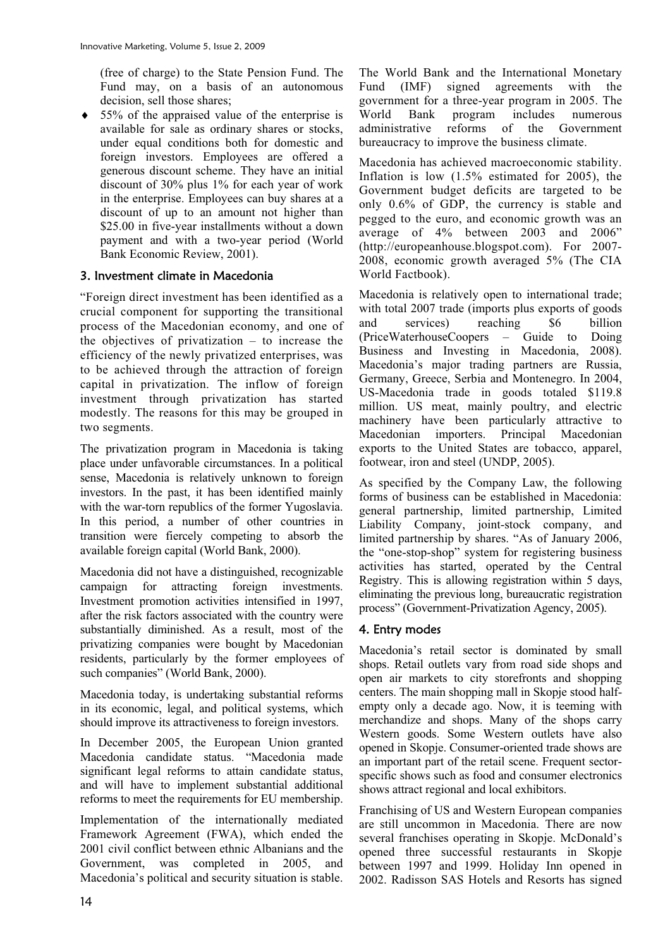(free of charge) to the State Pension Fund. The Fund may, on a basis of an autonomous decision, sell those shares;

 $\bullet$  55% of the appraised value of the enterprise is available for sale as ordinary shares or stocks, under equal conditions both for domestic and foreign investors. Employees are offered a generous discount scheme. They have an initial discount of 30% plus 1% for each year of work in the enterprise. Employees can buy shares at a discount of up to an amount not higher than \$25.00 in five-year installments without a down payment and with a two-year period (World Bank Economic Review, 2001).

## 3. Investment climate in Macedonia

"Foreign direct investment has been identified as a crucial component for supporting the transitional process of the Macedonian economy, and one of the objectives of privatization – to increase the efficiency of the newly privatized enterprises, was to be achieved through the attraction of foreign capital in privatization. The inflow of foreign investment through privatization has started modestly. The reasons for this may be grouped in two segments.

The privatization program in Macedonia is taking place under unfavorable circumstances. In a political sense, Macedonia is relatively unknown to foreign investors. In the past, it has been identified mainly with the war-torn republics of the former Yugoslavia. In this period, a number of other countries in transition were fiercely competing to absorb the available foreign capital (World Bank, 2000).

Macedonia did not have a distinguished, recognizable campaign for attracting foreign investments. Investment promotion activities intensified in 1997, after the risk factors associated with the country were substantially diminished. As a result, most of the privatizing companies were bought by Macedonian residents, particularly by the former employees of such companies" (World Bank, 2000).

Macedonia today, is undertaking substantial reforms in its economic, legal, and political systems, which should improve its attractiveness to foreign investors.

In December 2005, the European Union granted Macedonia candidate status. "Macedonia made significant legal reforms to attain candidate status, and will have to implement substantial additional reforms to meet the requirements for EU membership.

Implementation of the internationally mediated Framework Agreement (FWA), which ended the 2001 civil conflict between ethnic Albanians and the Government, was completed in 2005, and Macedonia's political and security situation is stable.

The World Bank and the International Monetary Fund (IMF) signed agreements with the government for a three-year program in 2005. The World Bank program includes numerous administrative reforms of the Government bureaucracy to improve the business climate.

Macedonia has achieved macroeconomic stability. Inflation is low (1.5% estimated for 2005), the Government budget deficits are targeted to be only 0.6% of GDP, the currency is stable and pegged to the euro, and economic growth was an average of 4% between 2003 and 2006" (http://europeanhouse.blogspot.com). For 2007- 2008, economic growth averaged 5% (The CIA World Factbook).

Macedonia is relatively open to international trade; with total 2007 trade (imports plus exports of goods) and services) reaching \$6 billion (PriceWaterhouseCoopers – Guide to Doing Business and Investing in Macedonia, 2008). Macedonia's major trading partners are Russia, Germany, Greece, Serbia and Montenegro. In 2004, US-Macedonia trade in goods totaled \$119.8 million. US meat, mainly poultry, and electric machinery have been particularly attractive to Macedonian importers. Principal Macedonian exports to the United States are tobacco, apparel, footwear, iron and steel (UNDP, 2005).

As specified by the Company Law, the following forms of business can be established in Macedonia: general partnership, limited partnership, Limited Liability Company, joint-stock company, and limited partnership by shares. "As of January 2006, the "one-stop-shop" system for registering business activities has started, operated by the Central Registry. This is allowing registration within 5 days, eliminating the previous long, bureaucratic registration process" (Government-Privatization Agency, 2005).

## 4. Entry modes

Macedonia's retail sector is dominated by small shops. Retail outlets vary from road side shops and open air markets to city storefronts and shopping centers. The main shopping mall in Skopje stood halfempty only a decade ago. Now, it is teeming with merchandize and shops. Many of the shops carry Western goods. Some Western outlets have also opened in Skopje. Consumer-oriented trade shows are an important part of the retail scene. Frequent sectorspecific shows such as food and consumer electronics shows attract regional and local exhibitors.

Franchising of US and Western European companies are still uncommon in Macedonia. There are now several franchises operating in Skopje. McDonald's opened three successful restaurants in Skopje between 1997 and 1999. Holiday Inn opened in 2002. Radisson SAS Hotels and Resorts has signed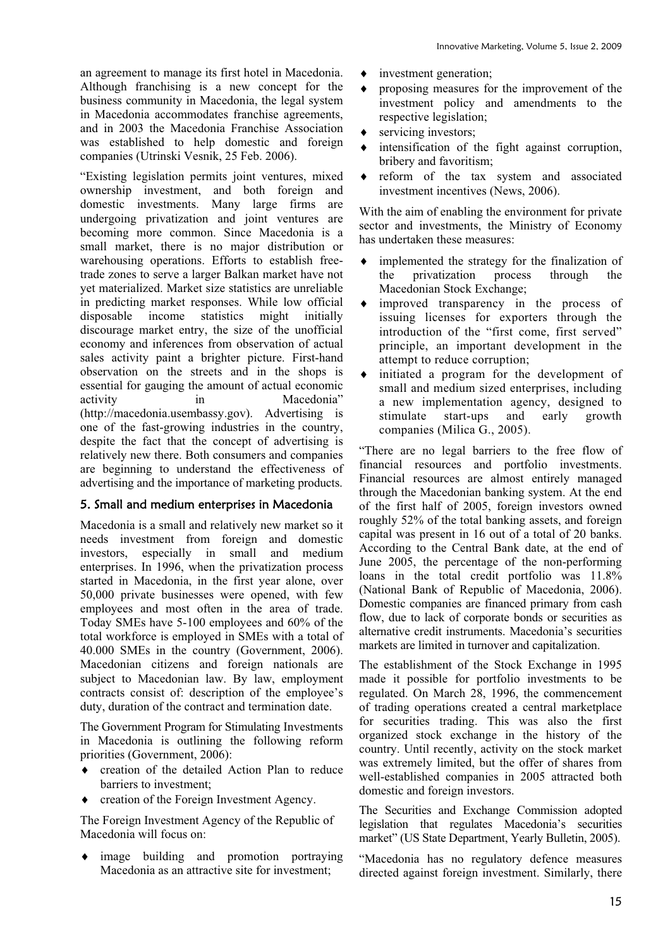an agreement to manage its first hotel in Macedonia. Although franchising is a new concept for the business community in Macedonia, the legal system in Macedonia accommodates franchise agreements, and in 2003 the Macedonia Franchise Association was established to help domestic and foreign companies (Utrinski Vesnik, 25 Feb. 2006).

"Existing legislation permits joint ventures, mixed ownership investment, and both foreign and domestic investments. Many large firms are undergoing privatization and joint ventures are becoming more common. Since Macedonia is a small market, there is no major distribution or warehousing operations. Efforts to establish freetrade zones to serve a larger Balkan market have not yet materialized. Market size statistics are unreliable in predicting market responses. While low official disposable income statistics might initially discourage market entry, the size of the unofficial economy and inferences from observation of actual sales activity paint a brighter picture. First-hand observation on the streets and in the shops is essential for gauging the amount of actual economic activity in Macedonia" (http://macedonia.usembassy.gov). Advertising is one of the fast-growing industries in the country, despite the fact that the concept of advertising is relatively new there. Both consumers and companies are beginning to understand the effectiveness of advertising and the importance of marketing products.

## 5. Small and medium enterprises in Macedonia

Macedonia is a small and relatively new market so it needs investment from foreign and domestic investors, especially in small and medium enterprises. In 1996, when the privatization process started in Macedonia, in the first year alone, over 50,000 private businesses were opened, with few employees and most often in the area of trade. Today SMEs have 5-100 employees and 60% of the total workforce is employed in SMEs with a total of 40.000 SMEs in the country (Government, 2006). Macedonian citizens and foreign nationals are subject to Macedonian law. By law, employment contracts consist of: description of the employee's duty, duration of the contract and termination date.

The Government Program for Stimulating Investments in Macedonia is outlining the following reform priorities (Government, 2006):

- $\bullet$  creation of the detailed Action Plan to reduce barriers to investment;
- $\bullet$  creation of the Foreign Investment Agency.

The Foreign Investment Agency of the Republic of Macedonia will focus on:

image building and promotion portraying Macedonia as an attractive site for investment;

- $\bullet$  investment generation;
- $\bullet$  proposing measures for the improvement of the investment policy and amendments to the respective legislation;
- $\bullet$  servicing investors;
- $\bullet$  intensification of the fight against corruption, bribery and favoritism;
- $\bullet$  reform of the tax system and associated investment incentives (News, 2006).

With the aim of enabling the environment for private sector and investments, the Ministry of Economy has undertaken these measures:

- $\bullet$  implemented the strategy for the finalization of the privatization process through the Macedonian Stock Exchange;
- $\bullet$  improved transparency in the process of issuing licenses for exporters through the introduction of the "first come, first served" principle, an important development in the attempt to reduce corruption;
- $\bullet$  initiated a program for the development of small and medium sized enterprises, including a new implementation agency, designed to stimulate start-ups and early growth companies (Milica G., 2005).

"There are no legal barriers to the free flow of financial resources and portfolio investments. Financial resources are almost entirely managed through the Macedonian banking system. At the end of the first half of 2005, foreign investors owned roughly 52% of the total banking assets, and foreign capital was present in 16 out of a total of 20 banks. According to the Central Bank date, at the end of June 2005, the percentage of the non-performing loans in the total credit portfolio was 11.8% (National Bank of Republic of Macedonia, 2006). Domestic companies are financed primary from cash flow, due to lack of corporate bonds or securities as alternative credit instruments. Macedonia's securities markets are limited in turnover and capitalization.

The establishment of the Stock Exchange in 1995 made it possible for portfolio investments to be regulated. On March 28, 1996, the commencement of trading operations created a central marketplace for securities trading. This was also the first organized stock exchange in the history of the country. Until recently, activity on the stock market was extremely limited, but the offer of shares from well-established companies in 2005 attracted both domestic and foreign investors.

The Securities and Exchange Commission adopted legislation that regulates Macedonia's securities market" (US State Department, Yearly Bulletin, 2005).

"Macedonia has no regulatory defence measures directed against foreign investment. Similarly, there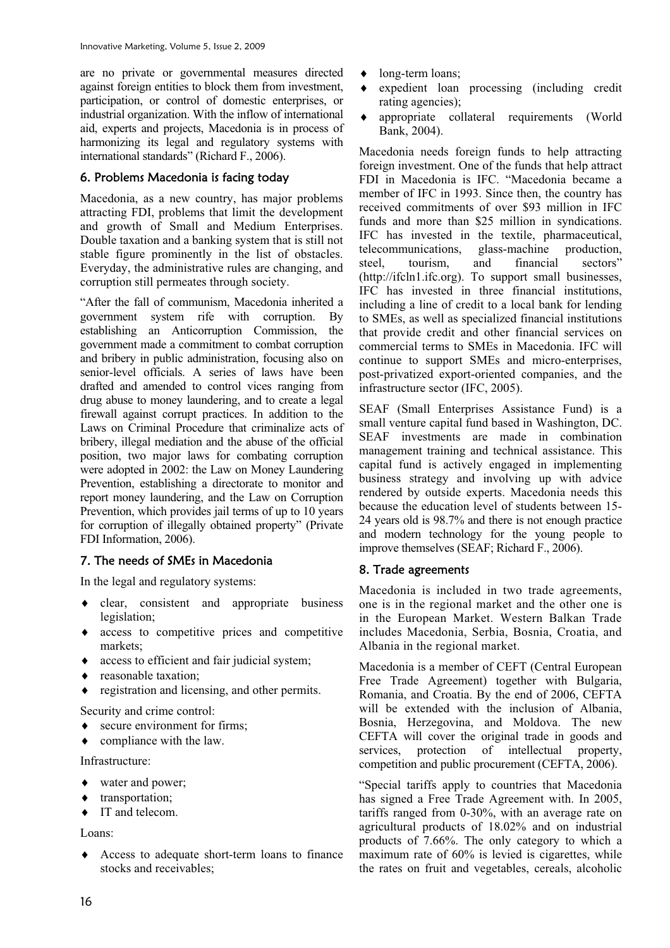are no private or governmental measures directed against foreign entities to block them from investment, participation, or control of domestic enterprises, or industrial organization. With the inflow of international aid, experts and projects, Macedonia is in process of harmonizing its legal and regulatory systems with international standards" (Richard F., 2006).

#### 6. Problems Macedonia is facing today

Macedonia, as a new country, has major problems attracting FDI, problems that limit the development and growth of Small and Medium Enterprises. Double taxation and a banking system that is still not stable figure prominently in the list of obstacles. Everyday, the administrative rules are changing, and corruption still permeates through society.

"After the fall of communism, Macedonia inherited a government system rife with corruption. By establishing an Anticorruption Commission, the government made a commitment to combat corruption and bribery in public administration, focusing also on senior-level officials. A series of laws have been drafted and amended to control vices ranging from drug abuse to money laundering, and to create a legal firewall against corrupt practices. In addition to the Laws on Criminal Procedure that criminalize acts of bribery, illegal mediation and the abuse of the official position, two major laws for combating corruption were adopted in 2002: the Law on Money Laundering Prevention, establishing a directorate to monitor and report money laundering, and the Law on Corruption Prevention, which provides jail terms of up to 10 years for corruption of illegally obtained property" (Private FDI Information, 2006).

## 7. The needs of SMEs in Macedonia

In the legal and regulatory systems:

- $\bullet$  clear, consistent and appropriate business legislation;
- $\bullet$  access to competitive prices and competitive markets;
- $\bullet$  access to efficient and fair judicial system;
- $\leftarrow$  reasonable taxation;
- $\bullet$  registration and licensing, and other permits.

Security and crime control:

- $\bullet$  secure environment for firms:
- compliance with the law.

Infrastructure:

- water and power;
- $\bullet$  transportation;
- $\bullet$  IT and telecom.

Loans:

 $\triangle$  Access to adequate short-term loans to finance stocks and receivables;

- $\bullet$  long-term loans;
- i expedient loan processing (including credit rating agencies);
- $\bullet$  appropriate collateral requirements (World Bank, 2004).

Macedonia needs foreign funds to help attracting foreign investment. One of the funds that help attract FDI in Macedonia is IFC. "Macedonia became a member of IFC in 1993. Since then, the country has received commitments of over \$93 million in IFC funds and more than \$25 million in syndications. IFC has invested in the textile, pharmaceutical, telecommunications, glass-machine production, steel, tourism, and financial sectors" (http://ifcln1.ifc.org). To support small businesses, IFC has invested in three financial institutions, including a line of credit to a local bank for lending to SMEs, as well as specialized financial institutions that provide credit and other financial services on commercial terms to SMEs in Macedonia. IFC will continue to support SMEs and micro-enterprises, post-privatized export-oriented companies, and the infrastructure sector (IFC, 2005).

SEAF (Small Enterprises Assistance Fund) is a small venture capital fund based in Washington, DC. SEAF investments are made in combination management training and technical assistance. This capital fund is actively engaged in implementing business strategy and involving up with advice rendered by outside experts. Macedonia needs this because the education level of students between 15- 24 years old is 98.7% and there is not enough practice and modern technology for the young people to improve themselves (SEAF; Richard F., 2006).

## 8. Trade agreements

Macedonia is included in two trade agreements, one is in the regional market and the other one is in the European Market. Western Balkan Trade includes Macedonia, Serbia, Bosnia, Croatia, and Albania in the regional market.

Macedonia is a member of CEFT (Central European Free Trade Agreement) together with Bulgaria, Romania, and Croatia. By the end of 2006, CEFTA will be extended with the inclusion of Albania, Bosnia, Herzegovina, and Moldova. The new CEFTA will cover the original trade in goods and services, protection of intellectual property, competition and public procurement (CEFTA, 2006).

"Special tariffs apply to countries that Macedonia has signed a Free Trade Agreement with. In 2005, tariffs ranged from 0-30%, with an average rate on agricultural products of 18.02% and on industrial products of 7.66%. The only category to which a maximum rate of 60% is levied is cigarettes, while the rates on fruit and vegetables, cereals, alcoholic